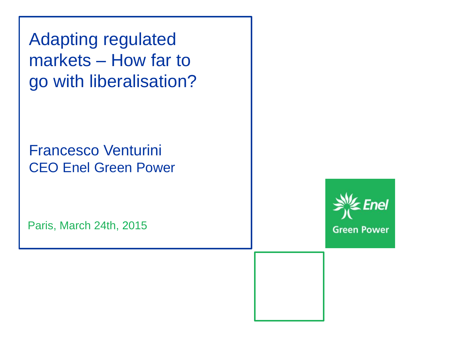Adapting regulated markets – How far to go with liberalisation?

Francesco Venturini CEO Enel Green Power

Paris, March 24th, 2015

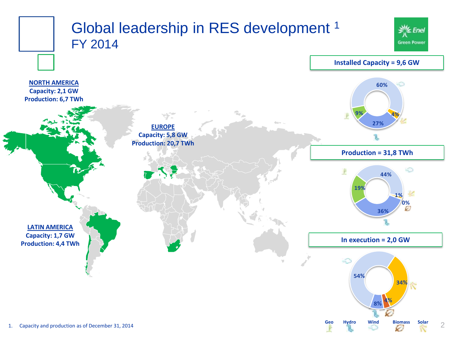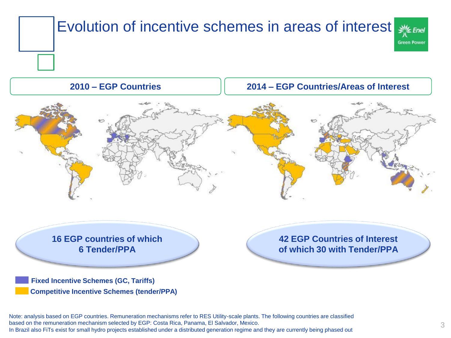

**16 EGP countries of which 6 Tender/PPA**

**42 EGP Countries of Interest of which 30 with Tender/PPA**

**Fixed Incentive Schemes (GC, Tariffs) Competitive Incentive Schemes (tender/PPA)**

Note: analysis based on EGP countries. Remuneration mechanisms refer to RES Utility-scale plants. The following countries are classified based on the remuneration mechanism selected by EGP: Costa Rica, Panama, El Salvador, Mexico. In Brazil also FiTs exist for small hydro projects established under a distributed generation regime and they are currently being phased out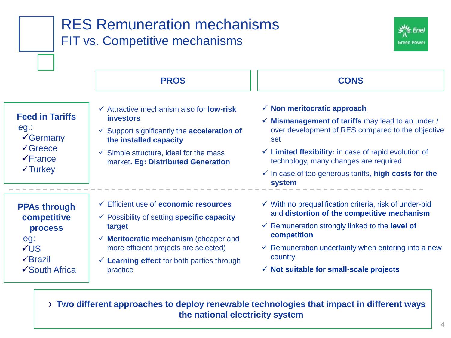|                                                                                                                          | FIT vs. Competitive mechanisms                                                                                                                                                                                                                                             | <b>Green Power</b>                                                                                                                                                                                                                                                                                                                                           |
|--------------------------------------------------------------------------------------------------------------------------|----------------------------------------------------------------------------------------------------------------------------------------------------------------------------------------------------------------------------------------------------------------------------|--------------------------------------------------------------------------------------------------------------------------------------------------------------------------------------------------------------------------------------------------------------------------------------------------------------------------------------------------------------|
|                                                                                                                          | <b>PROS</b>                                                                                                                                                                                                                                                                | <b>CONS</b>                                                                                                                                                                                                                                                                                                                                                  |
| <b>Feed in Tariffs</b><br>$eg$ .:<br>$\sqrt{G}$ ermany<br>$\sqrt{G}$ reece<br>$\sqrt{F}$ rance<br>$\sqrt{\text{Turkey}}$ | $\checkmark$ Attractive mechanism also for <b>low-risk</b><br><b>investors</b><br>$\checkmark$ Support significantly the acceleration of<br>the installed capacity<br>$\checkmark$ Simple structure, ideal for the mass<br>market. Eg: Distributed Generation              | $\checkmark$ Non meritocratic approach<br>$\checkmark$ Mismanagement of tariffs may lead to an under /<br>over development of RES compared to the objective<br>set<br>$\checkmark$ Limited flexibility: in case of rapid evolution of<br>technology, many changes are required<br>$\checkmark$ In case of too generous tariffs, high costs for the<br>system |
| <b>PPAs through</b><br>competitive<br>process<br>eg:<br>VUS<br>$\sqrt{B}$ razil<br>✔ South Africa                        | ← Efficient use of economic resources<br>$\checkmark$ Possibility of setting specific capacity<br>target<br>$\checkmark$ Meritocratic mechanism (cheaper and<br>more efficient projects are selected)<br>$\checkmark$ Learning effect for both parties through<br>practice | $\checkmark$ With no prequalification criteria, risk of under-bid<br>and distortion of the competitive mechanism<br>$\checkmark$ Remuneration strongly linked to the level of<br>competition<br>$\checkmark$ Remuneration uncertainty when entering into a new<br>country<br>$\checkmark$ Not suitable for small-scale projects                              |

› **Two different approaches to deploy renewable technologies that impact in different ways the national electricity system**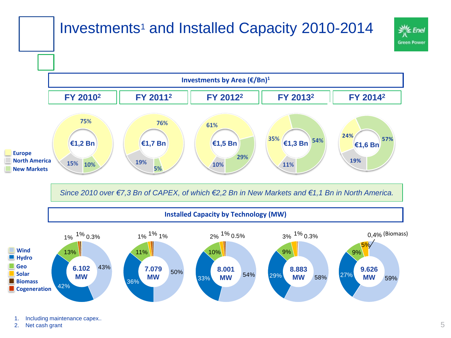## Investments<sup>1</sup> and Installed Capacity 2010-2014





*Since 2010 over €7,3 Bn of CAPEX, of which €2,2 Bn in New Markets and €1,1 Bn in North America.* 

## **Installed Capacity by Technology (MW)**



1. Including maintenance capex..

2. Net cash grant